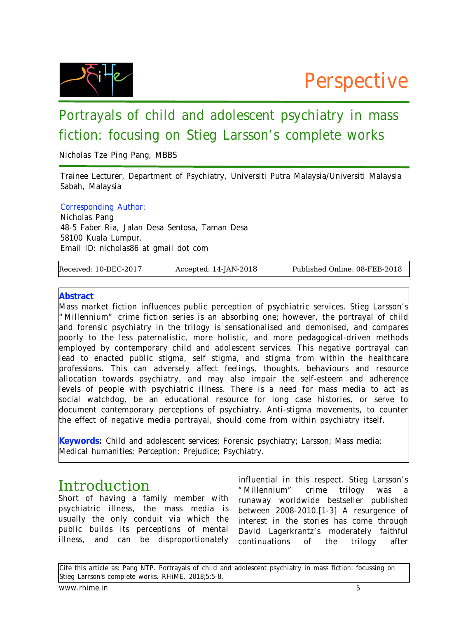

# Portrayals of child and adolescent psychiatry in mass fiction: focusing on Stieg Larsson's complete works

Nicholas Tze Ping Pang, MBBS

Trainee Lecturer, Department of Psychiatry, Universiti Putra Malaysia/Universiti Malaysia Sabah, Malaysia

## Corresponding Author:

Nicholas Pang 48-5 Faber Ria, Jalan Desa Sentosa, Taman Desa 58100 Kuala Lumpur. Email ID: nicholas86 at gmail dot com

Received: 10-DEC-2017 Accepted: 14-JAN-2018 Published Online: 08-FEB-2018

#### **Abstract**

Mass market fiction influences public perception of psychiatric services. Stieg Larsson's "Millennium" crime fiction series is an absorbing one; however, the portrayal of child and forensic psychiatry in the trilogy is sensationalised and demonised, and compares poorly to the less paternalistic, more holistic, and more pedagogical-driven methods employed by contemporary child and adolescent services. This negative portrayal can lead to enacted public stigma, self stigma, and stigma from within the healthcare professions. This can adversely affect feelings, thoughts, behaviours and resource allocation towards psychiatry, and may also impair the self-esteem and adherence levels of people with psychiatric illness. There is a need for mass media to act as social watchdog, be an educational resource for long case histories, or serve to document contemporary perceptions of psychiatry. Anti-stigma movements, to counter the effect of negative media portrayal, should come from within psychiatry itself.

**Keywords:** Child and adolescent services; Forensic psychiatry; Larsson; Mass media; Medical humanities; Perception; Prejudice; Psychiatry.

#### Introduction

Short of having a family member with psychiatric illness, the mass media is usually the only conduit via which the public builds its perceptions of mental illness, and can be disproportionately

influential in this respect. Stieg Larsson's "Millennium" crime trilogy was a runaway worldwide bestseller published between 2008-2010.[1-3] A resurgence of interest in the stories has come through David Lagerkrantz's moderately faithful continuations of the trilogy after

Cite this article as: Pang NTP. Portrayals of child and adolescent psychiatry in mass fiction: focussing on Stieg Larrson's complete works. RHiME. 2018;5:5-8.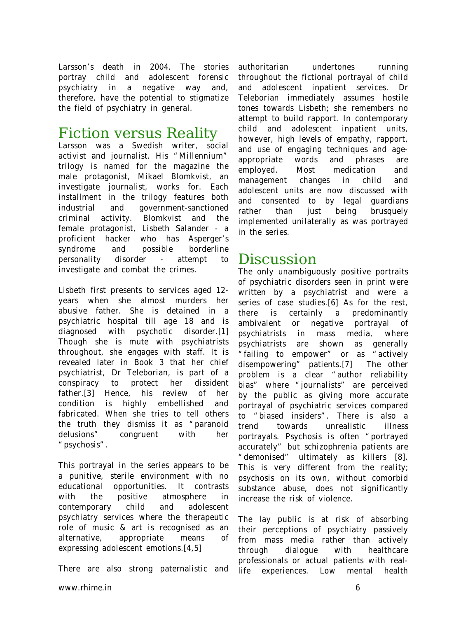Larsson's death in 2004. The stories portray child and adolescent forensic psychiatry in a negative way and, therefore, have the potential to stigmatize the field of psychiatry in general.

## Fiction versus Reality

Larsson was a Swedish writer, social activist and journalist. His "Millennium" trilogy is named for the magazine the male protagonist, Mikael Blomkvist, an investigate journalist, works for. Each installment in the trilogy features both industrial and government-sanctioned criminal activity. Blomkvist and the female protagonist, Lisbeth Salander - a proficient hacker who has Asperger's syndrome and possible borderline personality disorder - attempt to investigate and combat the crimes.

Lisbeth first presents to services aged 12 years when she almost murders her abusive father. She is detained in a psychiatric hospital till age 18 and is diagnosed with psychotic disorder.[1] Though she is mute with psychiatrists throughout, she engages with staff. It is revealed later in Book 3 that her chief psychiatrist, Dr Teleborian, is part of a conspiracy to protect her dissident father.[3] Hence, his review of her condition is highly embellished and fabricated. When she tries to tell others the truth they dismiss it as "paranoid delusions" congruent with her "psychosis".

This portrayal in the series appears to be a punitive, sterile environment with no educational opportunities. It contrasts with the positive atmosphere in contemporary child and adolescent psychiatry services where the therapeutic role of music & art is recognised as an alternative, appropriate means of expressing adolescent emotions.[4,5]

There are also strong paternalistic and

authoritarian undertones running throughout the fictional portrayal of child and adolescent inpatient services. Dr Teleborian immediately assumes hostile tones towards Lisbeth; she remembers no attempt to build rapport. In contemporary child and adolescent inpatient units, however, high levels of empathy, rapport, and use of engaging techniques and ageappropriate words and phrases are employed. Most medication and management changes in child and adolescent units are now discussed with and consented to by legal guardians rather than just being brusquely implemented unilaterally as was portrayed in the series.

#### Discussion

The only unambiguously positive portraits of psychiatric disorders seen in print were written by a psychiatrist and were a series of case studies. [6] As for the rest, there is certainly a predominantly ambivalent or negative portrayal of psychiatrists in mass media, where psychiatrists are shown as generally "failing to empower" or as "actively disempowering" patients.[7] The other problem is a clear "author reliability bias" where "journalists" are perceived by the public as giving more accurate portrayal of psychiatric services compared to "biased insiders". There is also a trend towards unrealistic illness portrayals. Psychosis is often "portrayed accurately" but schizophrenia patients are "demonised" ultimately as killers [8]. This is very different from the reality; psychosis on its own, without comorbid substance abuse, does not significantly increase the risk of violence.

The lay public is at risk of absorbing their perceptions of psychiatry passively from mass media rather than actively through dialogue with healthcare professionals or actual patients with reallife experiences. Low mental health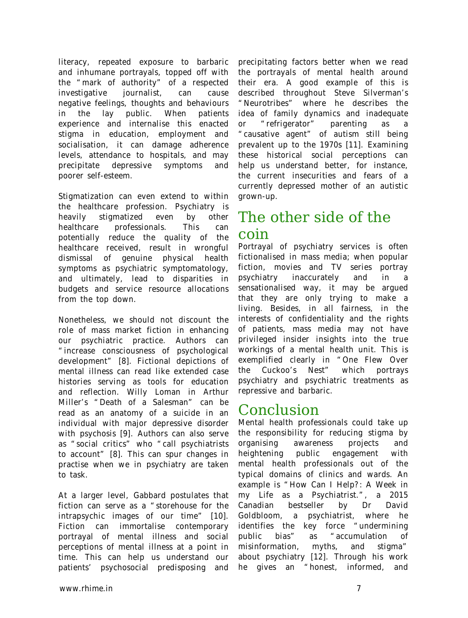literacy, repeated exposure to barbaric and inhumane portrayals, topped off with the "mark of authority" of a respected investigative journalist, can cause negative feelings, thoughts and behaviours in the lay public. When patients experience and internalise this enacted stigma in education, employment and socialisation, it can damage adherence levels, attendance to hospitals, and may precipitate depressive symptoms and poorer self-esteem.

Stigmatization can even extend to within the healthcare profession. Psychiatry is heavily stigmatized even by other healthcare professionals. This can potentially reduce the quality of the healthcare received, result in wrongful dismissal of genuine physical health symptoms as psychiatric symptomatology, and ultimately, lead to disparities in budgets and service resource allocations from the top down.

Nonetheless, we should not discount the role of mass market fiction in enhancing our psychiatric practice. Authors can "increase consciousness of psychological development" [8]. Fictional depictions of mental illness can read like extended case histories serving as tools for education and reflection. Willy Loman in Arthur Miller's "Death of a Salesman" can be read as an anatomy of a suicide in an individual with major depressive disorder with psychosis [9]. Authors can also serve as "social critics" who "call psychiatrists to account" [8]. This can spur changes in practise when we in psychiatry are taken to task.

At a larger level, Gabbard postulates that fiction can serve as a "storehouse for the intrapsychic images of our time" [10]. Fiction can immortalise contemporary portrayal of mental illness and social perceptions of mental illness at a point in time. This can help us understand our patients' psychosocial predisposing and

precipitating factors better when we read the portrayals of mental health around their era. A good example of this is described throughout Steve Silverman's "Neurotribes" where he describes the idea of family dynamics and inadequate or "refrigerator" parenting as a "causative agent" of autism still being prevalent up to the 1970s [11]. Examining these historical social perceptions can help us understand better, for instance, the current insecurities and fears of a currently depressed mother of an autistic grown-up.

## The other side of the coin

Portrayal of psychiatry services is often fictionalised in mass media; when popular fiction, movies and TV series portray psychiatry inaccurately and in a sensationalised way, it may be argued that they are only trying to make a living. Besides, in all fairness, in the interests of confidentiality and the rights of patients, mass media may not have privileged insider insights into the true workings of a mental health unit. This is exemplified clearly in "One Flew Over the Cuckoo's Nest" which portrays psychiatry and psychiatric treatments as repressive and barbaric.

### Conclusion

Mental health professionals could take up the responsibility for reducing stigma by organising awareness projects and heightening public engagement with mental health professionals out of the typical domains of clinics and wards. An example is "How Can I Help?: A Week in my Life as a Psychiatrist.", a 2015 Canadian bestseller by Dr David Goldbloom, a psychiatrist, where he identifies the key force "undermining public bias" as "accumulation of misinformation, myths, and stigma" about psychiatry [12]. Through his work he gives an "honest, informed, and